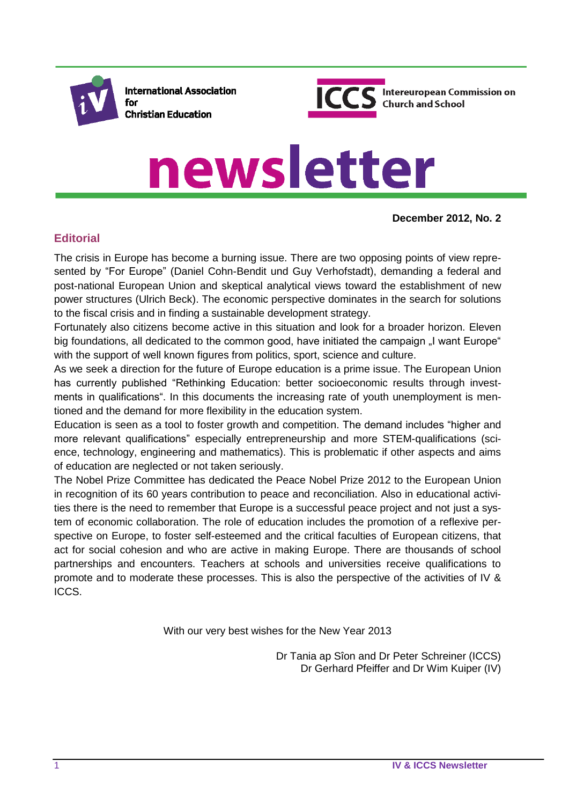

**International Association** for **Christian Education** 



# newsletter

**December 2012, No. 2**

# **Editorial**

The crisis in Europe has become a burning issue. There are two opposing points of view represented by "For Europe" (Daniel Cohn-Bendit und Guy Verhofstadt), demanding a federal and post-national European Union and skeptical analytical views toward the establishment of new power structures (Ulrich Beck). The economic perspective dominates in the search for solutions to the fiscal crisis and in finding a sustainable development strategy.

Fortunately also citizens become active in this situation and look for a broader horizon. Eleven big foundations, all dedicated to the common good, have initiated the campaign "I want Europe" with the support of well known figures from politics, sport, science and culture.

As we seek a direction for the future of Europe education is a prime issue. The European Union has currently published "Rethinking Education: better socioeconomic results through investments in qualifications". In this documents the increasing rate of youth unemployment is mentioned and the demand for more flexibility in the education system.

Education is seen as a tool to foster growth and competition. The demand includes "higher and more relevant qualifications" especially entrepreneurship and more STEM-qualifications (science, technology, engineering and mathematics). This is problematic if other aspects and aims of education are neglected or not taken seriously.

The Nobel Prize Committee has dedicated the Peace Nobel Prize 2012 to the European Union in recognition of its 60 years contribution to peace and reconciliation. Also in educational activities there is the need to remember that Europe is a successful peace project and not just a system of economic collaboration. The role of education includes the promotion of a reflexive perspective on Europe, to foster self-esteemed and the critical faculties of European citizens, that act for social cohesion and who are active in making Europe. There are thousands of school partnerships and encounters. Teachers at schools and universities receive qualifications to promote and to moderate these processes. This is also the perspective of the activities of IV & ICCS.

With our very best wishes for the New Year 2013

Dr Tania ap Sîon and Dr Peter Schreiner (ICCS) Dr Gerhard Pfeiffer and Dr Wim Kuiper (IV)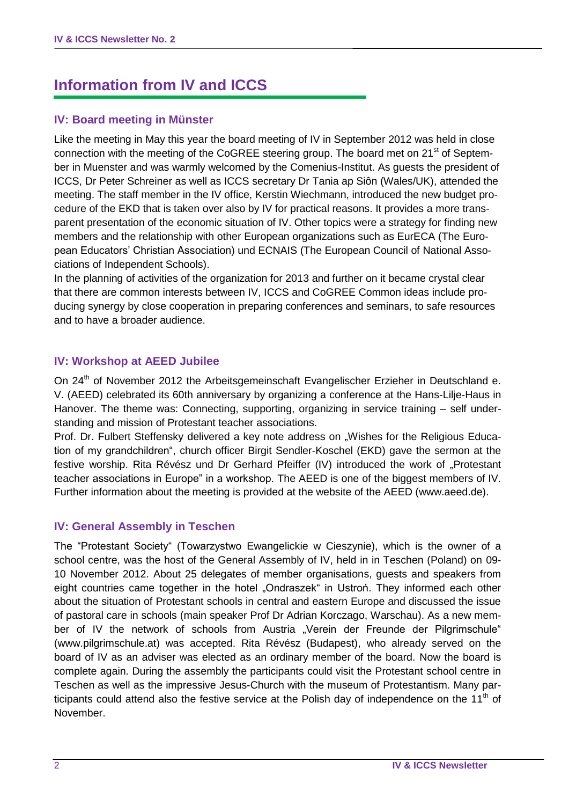# **Information from IV and ICCS**

# **IV: Board meeting in Münster**

Like the meeting in May this year the board meeting of IV in September 2012 was held in close connection with the meeting of the CoGREE steering group. The board met on 21<sup>st</sup> of September in Muenster and was warmly welcomed by the Comenius-Institut. As guests the president of ICCS, Dr Peter Schreiner as well as ICCS secretary Dr Tania ap Siôn (Wales/UK), attended the meeting. The staff member in the IV office, Kerstin Wiechmann, introduced the new budget procedure of the EKD that is taken over also by IV for practical reasons. It provides a more transparent presentation of the economic situation of IV. Other topics were a strategy for finding new members and the relationship with other European organizations such as EurECA (The European Educators' Christian Association) und ECNAIS (The European Council of National Associations of Independent Schools).

In the planning of activities of the organization for 2013 and further on it became crystal clear that there are common interests between IV, ICCS and CoGREE Common ideas include producing synergy by close cooperation in preparing conferences and seminars, to safe resources and to have a broader audience.

## **IV: Workshop at AEED Jubilee**

On 24<sup>th</sup> of November 2012 the Arbeitsgemeinschaft Evangelischer Erzieher in Deutschland e. V. (AEED) celebrated its 60th anniversary by organizing a conference at the Hans-Lilje-Haus in Hanover. The theme was: Connecting, supporting, organizing in service training – self understanding and mission of Protestant teacher associations.

Prof. Dr. Fulbert Steffensky delivered a key note address on "Wishes for the Religious Education of my grandchildren", church officer Birgit Sendler-Koschel (EKD) gave the sermon at the festive worship. Rita Révész und Dr Gerhard Pfeiffer (IV) introduced the work of "Protestant teacher associations in Europe" in a workshop. The AEED is one of the biggest members of IV. Further information about the meeting is provided at the website of the AEED (www.aeed.de).

## **IV: General Assembly in Teschen**

The "Protestant Society" (Towarzystwo Ewangelickie w Cieszynie), which is the owner of a school centre, was the host of the General Assembly of IV, held in in Teschen (Poland) on 09- 10 November 2012. About 25 delegates of member organisations, guests and speakers from eight countries came together in the hotel "Ondraszek" in Ustroń. They informed each other about the situation of Protestant schools in central and eastern Europe and discussed the issue of pastoral care in schools (main speaker Prof Dr Adrian Korczago, Warschau). As a new member of IV the network of schools from Austria "Verein der Freunde der Pilgrimschule" [\(www.pilgrimschule.at\)](http://www.pilgrimschule.at/) was accepted. Rita Révész (Budapest), who already served on the board of IV as an adviser was elected as an ordinary member of the board. Now the board is complete again. During the assembly the participants could visit the Protestant school centre in Teschen as well as the impressive Jesus-Church with the museum of Protestantism. Many participants could attend also the festive service at the Polish day of independence on the 11<sup>th</sup> of November.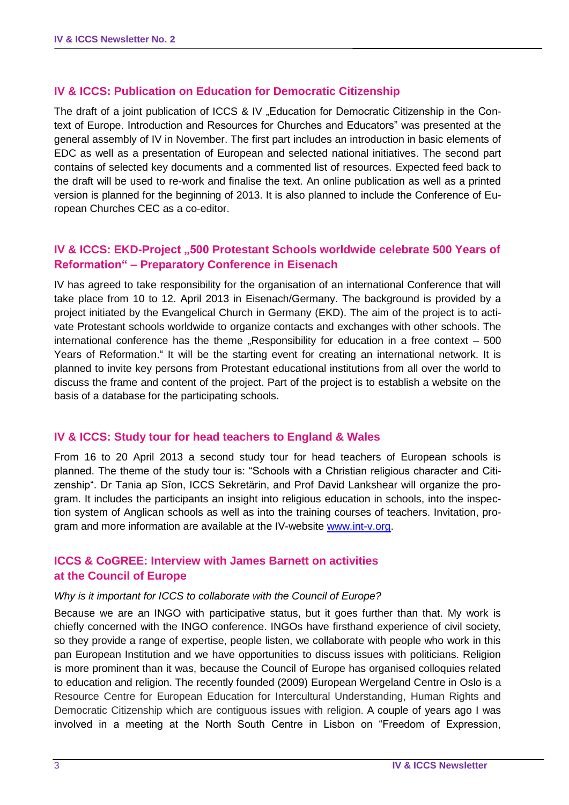### **IV & ICCS: Publication on Education for Democratic Citizenship**

The draft of a joint publication of ICCS & IV "Education for Democratic Citizenship in the Context of Europe. Introduction and Resources for Churches and Educators" was presented at the general assembly of IV in November. The first part includes an introduction in basic elements of EDC as well as a presentation of European and selected national initiatives. The second part contains of selected key documents and a commented list of resources. Expected feed back to the draft will be used to re-work and finalise the text. An online publication as well as a printed version is planned for the beginning of 2013. It is also planned to include the Conference of European Churches CEC as a co-editor.

# **IV & ICCS: EKD-Project ..500 Protestant Schools worldwide celebrate 500 Years of Reformation" – Preparatory Conference in Eisenach**

IV has agreed to take responsibility for the organisation of an international Conference that will take place from 10 to 12. April 2013 in Eisenach/Germany. The background is provided by a project initiated by the Evangelical Church in Germany (EKD). The aim of the project is to activate Protestant schools worldwide to organize contacts and exchanges with other schools. The international conference has the theme  $\sqrt{R}$ Responsibility for education in a free context – 500 Years of Reformation." It will be the starting event for creating an international network. It is planned to invite key persons from Protestant educational institutions from all over the world to discuss the frame and content of the project. Part of the project is to establish a website on the basis of a database for the participating schools.

#### **IV & ICCS: Study tour for head teachers to England & Wales**

From 16 to 20 April 2013 a second study tour for head teachers of European schools is planned. The theme of the study tour is: "Schools with a Christian religious character and Citizenship". Dr Tania ap Sîon, ICCS Sekretärin, and Prof David Lankshear will organize the program. It includes the participants an insight into religious education in schools, into the inspection system of Anglican schools as well as into the training courses of teachers. Invitation, program and more information are available at the IV-website [www.int-v.org.](http://www.int-v.org/)

## **ICCS & CoGREE: Interview with James Barnett on activities at the Council of Europe**

#### *Why is it important for ICCS to collaborate with the Council of Europe?*

Because we are an INGO with participative status, but it goes further than that. My work is chiefly concerned with the INGO conference. INGOs have firsthand experience of civil society, so they provide a range of expertise, people listen, we collaborate with people who work in this pan European Institution and we have opportunities to discuss issues with politicians. Religion is more prominent than it was, because the Council of Europe has organised colloquies related to education and religion. The recently founded (2009) European Wergeland Centre in Oslo is a Resource Centre for European Education for Intercultural Understanding, Human Rights and Democratic Citizenship which are contiguous issues with religion. A couple of years ago I was involved in a meeting at the North South Centre in Lisbon on "Freedom of Expression,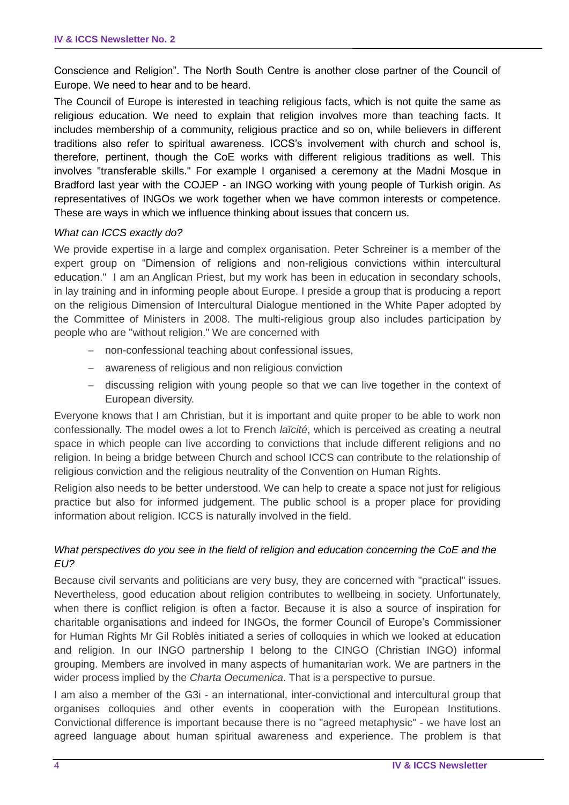Conscience and Religion". The North South Centre is another close partner of the Council of Europe. We need to hear and to be heard.

The Council of Europe is interested in teaching religious facts, which is not quite the same as religious education. We need to explain that religion involves more than teaching facts. It includes membership of a community, religious practice and so on, while believers in different traditions also refer to spiritual awareness. ICCS's involvement with church and school is, therefore, pertinent, though the CoE works with different religious traditions as well. This involves "transferable skills." For example I organised a ceremony at the Madni Mosque in Bradford last year with the COJEP - an INGO working with young people of Turkish origin. As representatives of INGOs we work together when we have common interests or competence. These are ways in which we influence thinking about issues that concern us.

#### *What can ICCS exactly do?*

We provide expertise in a large and complex organisation. Peter Schreiner is a member of the expert group on "Dimension of religions and non-religious convictions within intercultural education." I am an Anglican Priest, but my work has been in education in secondary schools, in lay training and in informing people about Europe. I preside a group that is producing a report on the religious Dimension of Intercultural Dialogue mentioned in the White Paper adopted by the Committee of Ministers in 2008. The multi-religious group also includes participation by people who are "without religion." We are concerned with

- non-confessional teaching about confessional issues,
- awareness of religious and non religious conviction
- discussing religion with young people so that we can live together in the context of European diversity.

Everyone knows that I am Christian, but it is important and quite proper to be able to work non confessionally. The model owes a lot to French *laïcité*, which is perceived as creating a neutral space in which people can live according to convictions that include different religions and no religion. In being a bridge between Church and school ICCS can contribute to the relationship of religious conviction and the religious neutrality of the Convention on Human Rights.

Religion also needs to be better understood. We can help to create a space not just for religious practice but also for informed judgement. The public school is a proper place for providing information about religion. ICCS is naturally involved in the field.

### *What perspectives do you see in the field of religion and education concerning the CoE and the EU?*

Because civil servants and politicians are very busy, they are concerned with "practical" issues. Nevertheless, good education about religion contributes to wellbeing in society. Unfortunately, when there is conflict religion is often a factor. Because it is also a source of inspiration for charitable organisations and indeed for INGOs, the former Council of Europe's Commissioner for Human Rights Mr Gil Roblès initiated a series of colloquies in which we looked at education and religion. In our INGO partnership I belong to the CINGO (Christian INGO) informal grouping. Members are involved in many aspects of humanitarian work. We are partners in the wider process implied by the *Charta Oecumenica*. That is a perspective to pursue.

I am also a member of the G3i - an international, inter-convictional and intercultural group that organises colloquies and other events in cooperation with the European Institutions. Convictional difference is important because there is no "agreed metaphysic" - we have lost an agreed language about human spiritual awareness and experience. The problem is that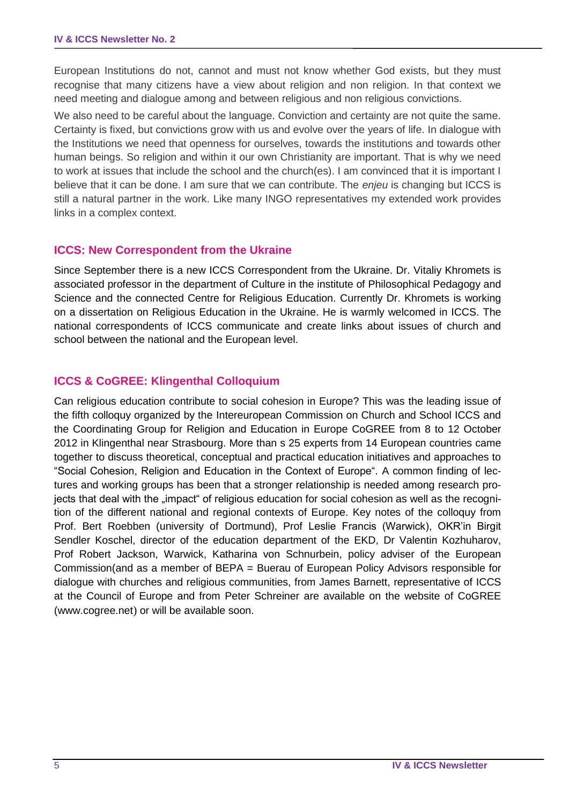European Institutions do not, cannot and must not know whether God exists, but they must recognise that many citizens have a view about religion and non religion. In that context we need meeting and dialogue among and between religious and non religious convictions.

We also need to be careful about the language. Conviction and certainty are not quite the same. Certainty is fixed, but convictions grow with us and evolve over the years of life. In dialogue with the Institutions we need that openness for ourselves, towards the institutions and towards other human beings. So religion and within it our own Christianity are important. That is why we need to work at issues that include the school and the church(es). I am convinced that it is important I believe that it can be done. I am sure that we can contribute. The *enjeu* is changing but ICCS is still a natural partner in the work. Like many INGO representatives my extended work provides links in a complex context.

#### **ICCS: New Correspondent from the Ukraine**

Since September there is a new ICCS Correspondent from the Ukraine. Dr. Vitaliy Khromets is associated professor in the department of Culture in the institute of Philosophical Pedagogy and Science and the connected Centre for Religious Education. Currently Dr. Khromets is working on a dissertation on Religious Education in the Ukraine. He is warmly welcomed in ICCS. The national correspondents of ICCS communicate and create links about issues of church and school between the national and the European level.

## **ICCS & CoGREE: Klingenthal Colloquium**

Can religious education contribute to social cohesion in Europe? This was the leading issue of the fifth colloquy organized by the Intereuropean Commission on Church and School ICCS and the Coordinating Group for Religion and Education in Europe CoGREE from 8 to 12 October 2012 in Klingenthal near Strasbourg. More than s 25 experts from 14 European countries came together to discuss theoretical, conceptual and practical education initiatives and approaches to "Social Cohesion, Religion and Education in the Context of Europe". A common finding of lectures and working groups has been that a stronger relationship is needed among research projects that deal with the "impact" of religious education for social cohesion as well as the recognition of the different national and regional contexts of Europe. Key notes of the colloquy from Prof. Bert Roebben (university of Dortmund), Prof Leslie Francis (Warwick), OKR'in Birgit Sendler Koschel, director of the education department of the EKD, Dr Valentin Kozhuharov, Prof Robert Jackson, Warwick, Katharina von Schnurbein, policy adviser of the European Commission(and as a member of BEPA = Buerau of European Policy Advisors responsible for dialogue with churches and religious communities, from James Barnett, representative of ICCS at the Council of Europe and from Peter Schreiner are available on the website of CoGREE [\(www.cogree.net](http://www.cogree.net/)) or will be available soon.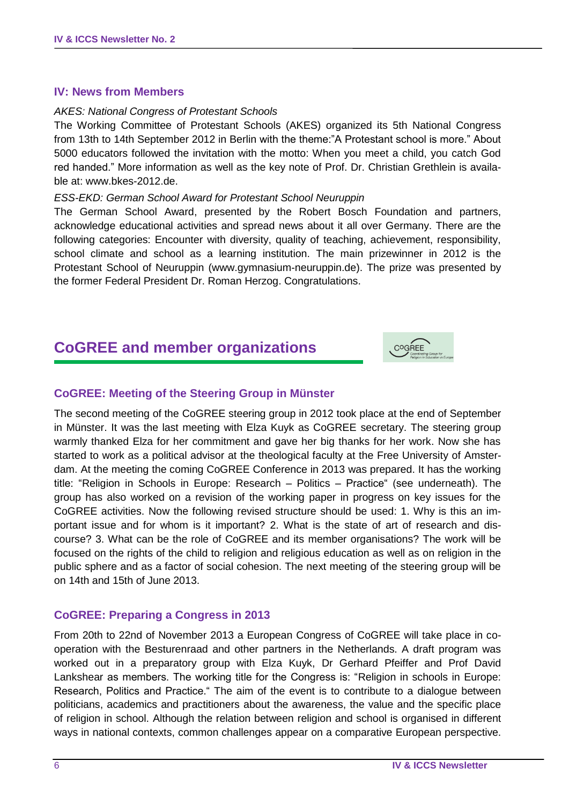#### **IV: News from Members**

#### *AKES: National Congress of Protestant Schools*

The Working Committee of Protestant Schools (AKES) organized its 5th National Congress from 13th to 14th September 2012 in Berlin with the theme:"A Protestant school is more." About 5000 educators followed the invitation with the motto: When you meet a child, you catch God red handed." More information as well as the key note of Prof. Dr. Christian Grethlein is available at: [www.bkes-2012.de.](http://www.bkes-2012.de/)

#### *ESS-EKD: German School Award for Protestant School Neuruppin*

The German School Award, presented by the Robert Bosch Foundation and partners, acknowledge educational activities and spread news about it all over Germany. There are the following categories: Encounter with diversity, quality of teaching, achievement, responsibility, school climate and school as a learning institution. The main prizewinner in 2012 is the Protestant School of Neuruppin [\(www.gymnasium-neuruppin.de\)](http://www.gymnasium-neuruppin.de/). The prize was presented by the former Federal President Dr. Roman Herzog. Congratulations.

# **CoGREE and member organizations**



### **CoGREE: Meeting of the Steering Group in Münster**

The second meeting of the CoGREE steering group in 2012 took place at the end of September in Münster. It was the last meeting with Elza Kuyk as CoGREE secretary. The steering group warmly thanked Elza for her commitment and gave her big thanks for her work. Now she has started to work as a political advisor at the theological faculty at the Free University of Amsterdam. At the meeting the coming CoGREE Conference in 2013 was prepared. It has the working title: "Religion in Schools in Europe: Research – Politics – Practice" (see underneath). The group has also worked on a revision of the working paper in progress on key issues for the CoGREE activities. Now the following revised structure should be used: 1. Why is this an important issue and for whom is it important? 2. What is the state of art of research and discourse? 3. What can be the role of CoGREE and its member organisations? The work will be focused on the rights of the child to religion and religious education as well as on religion in the public sphere and as a factor of social cohesion. The next meeting of the steering group will be on 14th and 15th of June 2013.

#### **CoGREE: Preparing a Congress in 2013**

From 20th to 22nd of November 2013 a European Congress of CoGREE will take place in cooperation with the Besturenraad and other partners in the Netherlands. A draft program was worked out in a preparatory group with Elza Kuyk, Dr Gerhard Pfeiffer and Prof David Lankshear as members. The working title for the Congress is: "Religion in schools in Europe: Research, Politics and Practice." The aim of the event is to contribute to a dialogue between politicians, academics and practitioners about the awareness, the value and the specific place of religion in school. Although the relation between religion and school is organised in different ways in national contexts, common challenges appear on a comparative European perspective.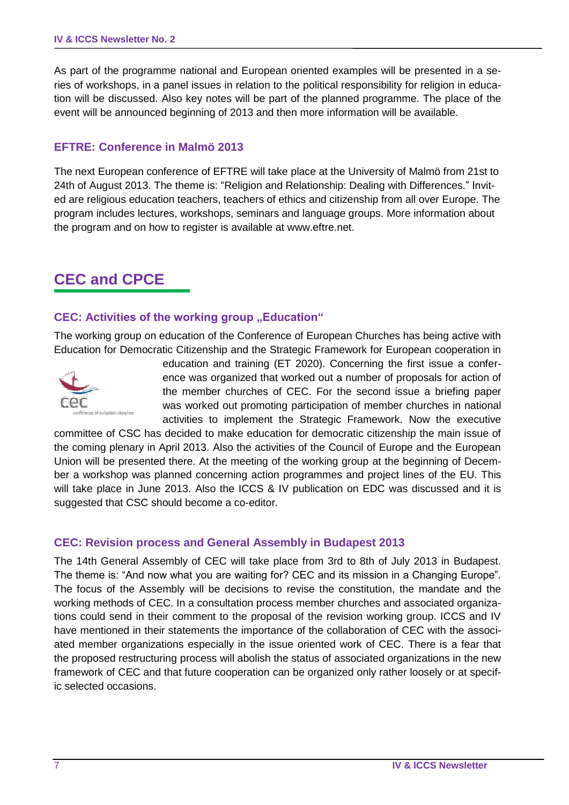As part of the programme national and European oriented examples will be presented in a series of workshops, in a panel issues in relation to the political responsibility for religion in education will be discussed. Also key notes will be part of the planned programme. The place of the event will be announced beginning of 2013 and then more information will be available.

#### **EFTRE: Conference in Malmö 2013**

The next European conference of EFTRE will take place at the University of Malmö from 21st to 24th of August 2013. The theme is: "Religion and Relationship: Dealing with Differences." Invited are religious education teachers, teachers of ethics and citizenship from all over Europe. The program includes lectures, workshops, seminars and language groups. More information about the program and on how to register is available at [www.eftre.net.](http://www.eftre.net/)

# **CEC and CPCE**

### **CEC: Activities of the working group "Education"**

The working group on education of the Conference of European Churches has being active with Education for Democratic Citizenship and the Strategic Framework for European cooperation in



education and training (ET 2020). Concerning the first issue a conference was organized that worked out a number of proposals for action of the member churches of CEC. For the second issue a briefing paper was worked out promoting participation of member churches in national activities to implement the Strategic Framework. Now the executive

committee of CSC has decided to make education for democratic citizenship the main issue of the coming plenary in April 2013. Also the activities of the Council of Europe and the European Union will be presented there. At the meeting of the working group at the beginning of December a workshop was planned concerning action programmes and project lines of the EU. This will take place in June 2013. Also the ICCS & IV publication on EDC was discussed and it is suggested that CSC should become a co-editor.

#### **CEC: Revision process and General Assembly in Budapest 2013**

The 14th General Assembly of CEC will take place from 3rd to 8th of July 2013 in Budapest. The theme is: "And now what you are waiting for? CEC and its mission in a Changing Europe". The focus of the Assembly will be decisions to revise the constitution, the mandate and the working methods of CEC. In a consultation process member churches and associated organizations could send in their comment to the proposal of the revision working group. ICCS and IV have mentioned in their statements the importance of the collaboration of CEC with the associated member organizations especially in the issue oriented work of CEC. There is a fear that the proposed restructuring process will abolish the status of associated organizations in the new framework of CEC and that future cooperation can be organized only rather loosely or at specific selected occasions.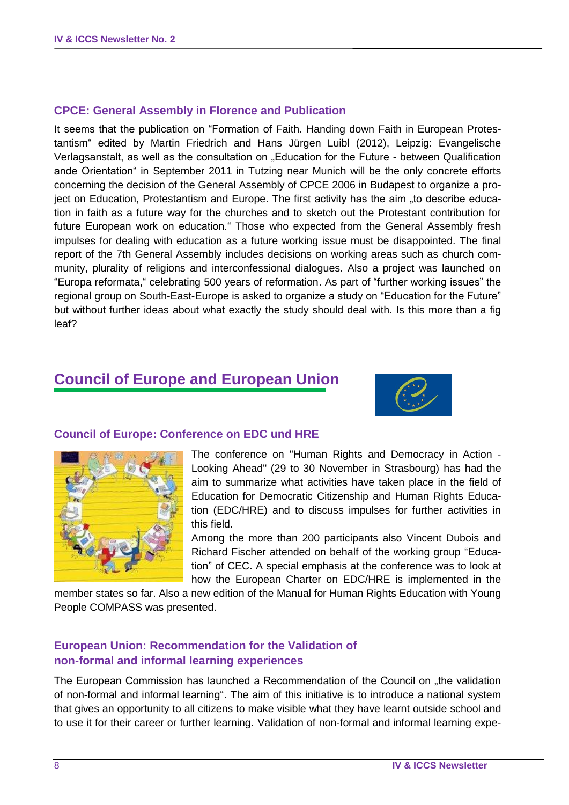#### **CPCE: General Assembly in Florence and Publication**

It seems that the publication on "Formation of Faith. Handing down Faith in European Protestantism" edited by Martin Friedrich and Hans Jürgen Luibl (2012), Leipzig: Evangelische Verlagsanstalt, as well as the consultation on "Education for the Future - between Qualification ande Orientation" in September 2011 in Tutzing near Munich will be the only concrete efforts concerning the decision of the General Assembly of CPCE 2006 in Budapest to organize a project on Education, Protestantism and Europe. The first activity has the aim "to describe education in faith as a future way for the churches and to sketch out the Protestant contribution for future European work on education." Those who expected from the General Assembly fresh impulses for dealing with education as a future working issue must be disappointed. The final report of the 7th General Assembly includes decisions on working areas such as church community, plurality of religions and interconfessional dialogues. Also a project was launched on "Europa reformata," celebrating 500 years of reformation. As part of "further working issues" the regional group on South-East-Europe is asked to organize a study on "Education for the Future" but without further ideas about what exactly the study should deal with. Is this more than a fig leaf?

# **Council of Europe and European Union**





#### **Council of Europe: Conference on EDC und HRE**

The conference on "Human Rights and Democracy in Action - Looking Ahead" (29 to 30 November in Strasbourg) has had the aim to summarize what activities have taken place in the field of Education for Democratic Citizenship and Human Rights Education (EDC/HRE) and to discuss impulses for further activities in this field.

Among the more than 200 participants also Vincent Dubois and Richard Fischer attended on behalf of the working group "Education" of CEC. A special emphasis at the conference was to look at how the European Charter on EDC/HRE is implemented in the

member states so far. Also a new edition of the Manual for Human Rights Education with Young People COMPASS was presented.

### **European Union: Recommendation for the Validation of non-formal and informal learning experiences**

The European Commission has launched a Recommendation of the Council on "the validation of non-formal and informal learning". The aim of this initiative is to introduce a national system that gives an opportunity to all citizens to make visible what they have learnt outside school and to use it for their career or further learning. Validation of non-formal and informal learning expe